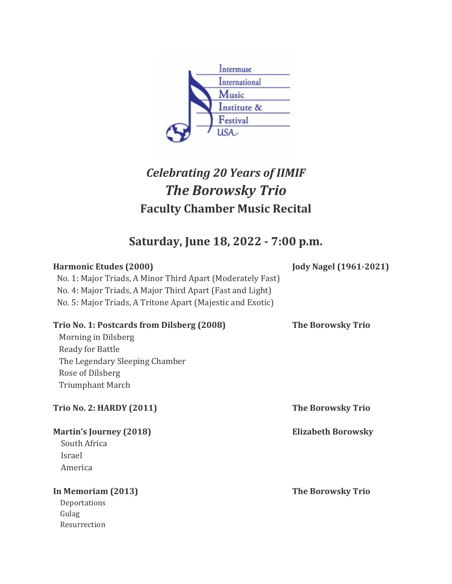

## *Celebrating 20 Years of IIMIF The Borowsky Trio* **Faculty Chamber Music Recital**

**Saturday, June 18, 2022 - 7:00 p.m.**

| <b>Harmonic Etudes (2000)</b><br>No. 1: Major Triads, A Minor Third Apart (Moderately Fast)<br>No. 4: Major Triads, A Major Third Apart (Fast and Light)<br>No. 5: Major Triads, A Tritone Apart (Majestic and Exotic) | <b>Jody Nagel (1961-2021)</b> |
|------------------------------------------------------------------------------------------------------------------------------------------------------------------------------------------------------------------------|-------------------------------|
| Trio No. 1: Postcards from Dilsberg (2008)<br>Morning in Dilsberg<br><b>Ready for Battle</b><br>The Legendary Sleeping Chamber<br>Rose of Dilsberg<br><b>Triumphant March</b>                                          | <b>The Borowsky Trio</b>      |
| <b>Trio No. 2: HARDY (2011)</b>                                                                                                                                                                                        | <b>The Borowsky Trio</b>      |
| <b>Martin's Journey (2018)</b><br>South Africa<br>Israel<br>America                                                                                                                                                    | <b>Elizabeth Borowsky</b>     |
| In Memoriam (2013)<br>Deportations<br>Gulag                                                                                                                                                                            | <b>The Borowsky Trio</b>      |

Resurrection